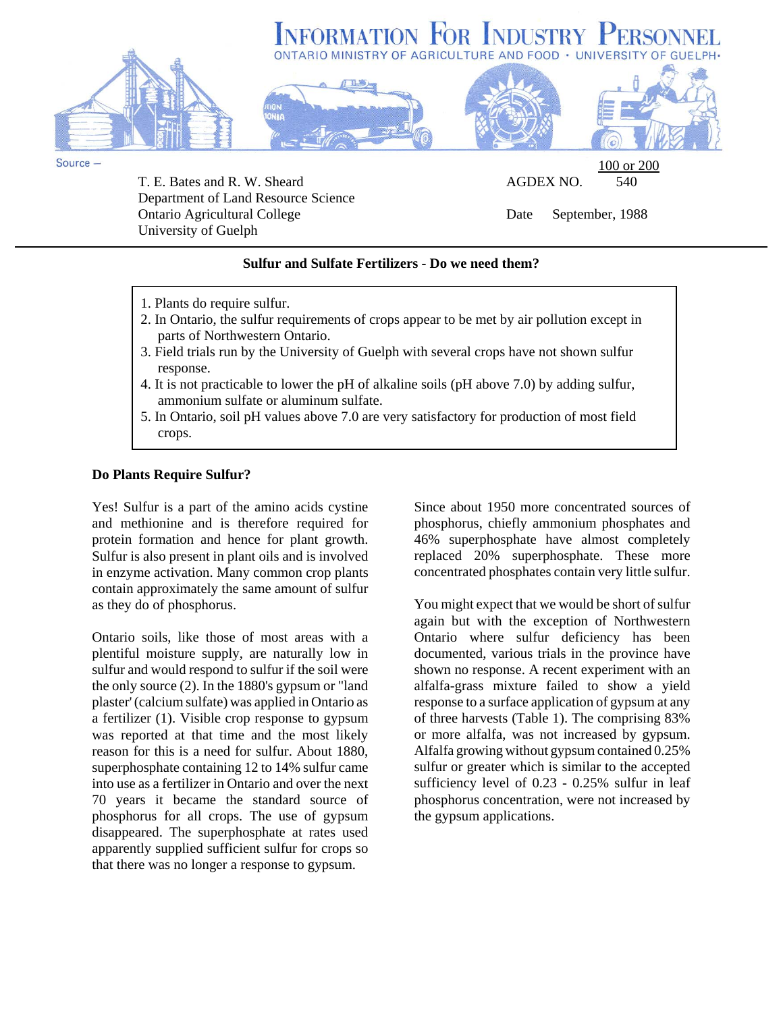



Source -

T. E. Bates and R. W. Sheard AGDEX NO. 540 Department of Land Resource Science Ontario Agricultural College Date September, 1988 University of Guelph

100 or 200

# **Sulfur and Sulfate Fertilizers - Do we need them?**

- 1. Plants do require sulfur.
- 2. In Ontario, the sulfur requirements of crops appear to be met by air pollution except in parts of Northwestern Ontario.
- 3. Field trials run by the University of Guelph with several crops have not shown sulfur response.
- 4. It is not practicable to lower the pH of alkaline soils (pH above 7.0) by adding sulfur, ammonium sulfate or aluminum sulfate.
- 5. In Ontario, soil pH values above 7.0 are very satisfactory for production of most field crops.

### **Do Plants Require Sulfur?**

Yes! Sulfur is a part of the amino acids cystine and methionine and is therefore required for protein formation and hence for plant growth. Sulfur is also present in plant oils and is involved in enzyme activation. Many common crop plants contain approximately the same amount of sulfur as they do of phosphorus.

Ontario soils, like those of most areas with a plentiful moisture supply, are naturally low in sulfur and would respond to sulfur if the soil were the only source (2). In the 1880's gypsum or "land plaster' (calcium sulfate) was applied in Ontario as a fertilizer (1). Visible crop response to gypsum was reported at that time and the most likely reason for this is a need for sulfur. About 1880, superphosphate containing 12 to 14% sulfur came into use as a fertilizer in Ontario and over the next 70 years it became the standard source of phosphorus for all crops. The use of gypsum disappeared. The superphosphate at rates used apparently supplied sufficient sulfur for crops so that there was no longer a response to gypsum.

Since about 1950 more concentrated sources of phosphorus, chiefly ammonium phosphates and 46% superphosphate have almost completely replaced 20% superphosphate. These more concentrated phosphates contain very little sulfur.

You might expect that we would be short of sulfur again but with the exception of Northwestern Ontario where sulfur deficiency has been documented, various trials in the province have shown no response. A recent experiment with an alfalfa-grass mixture failed to show a yield response to a surface application of gypsum at any of three harvests (Table 1). The comprising 83% or more alfalfa, was not increased by gypsum. Alfalfa growing without gypsum contained 0.25% sulfur or greater which is similar to the accepted sufficiency level of 0.23 - 0.25% sulfur in leaf phosphorus concentration, were not increased by the gypsum applications.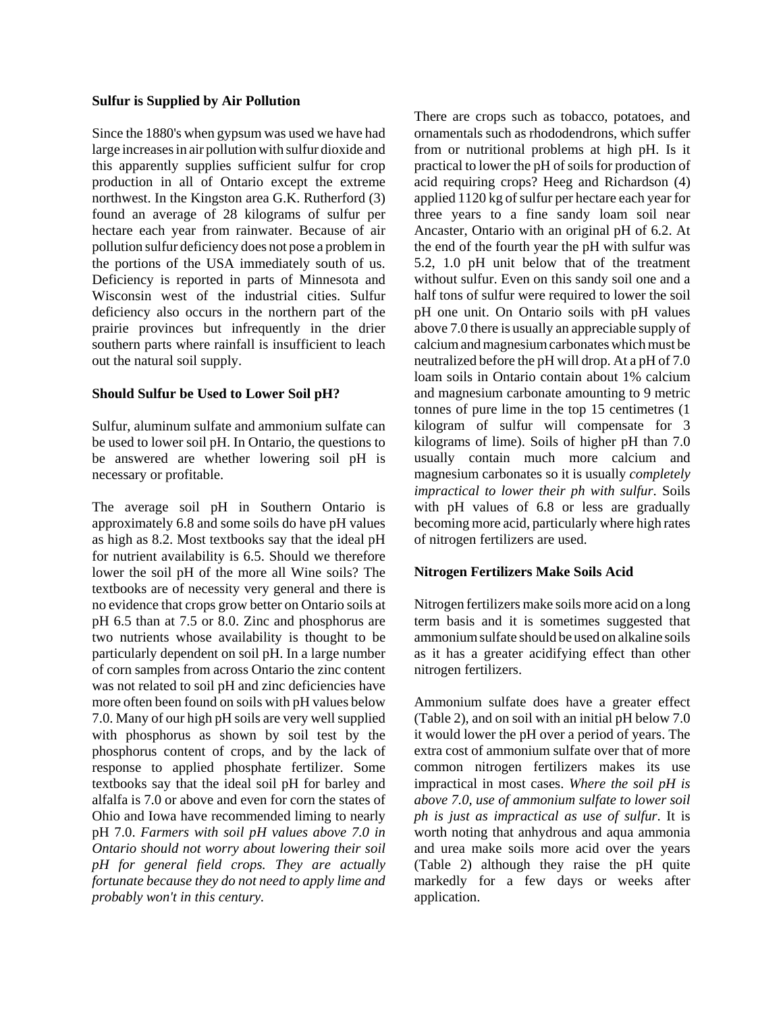#### **Sulfur is Supplied by Air Pollution**

Since the 1880's when gypsum was used we have had large increases in air pollution with sulfur dioxide and this apparently supplies sufficient sulfur for crop production in all of Ontario except the extreme northwest. In the Kingston area G.K. Rutherford (3) found an average of 28 kilograms of sulfur per hectare each year from rainwater. Because of air pollution sulfur deficiency does not pose a problem in the portions of the USA immediately south of us. Deficiency is reported in parts of Minnesota and Wisconsin west of the industrial cities. Sulfur deficiency also occurs in the northern part of the prairie provinces but infrequently in the drier southern parts where rainfall is insufficient to leach out the natural soil supply.

### **Should Sulfur be Used to Lower Soil pH?**

Sulfur, aluminum sulfate and ammonium sulfate can be used to lower soil pH. In Ontario, the questions to be answered are whether lowering soil pH is necessary or profitable.

The average soil pH in Southern Ontario is approximately 6.8 and some soils do have pH values as high as 8.2. Most textbooks say that the ideal pH for nutrient availability is 6.5. Should we therefore lower the soil pH of the more all Wine soils? The textbooks are of necessity very general and there is no evidence that crops grow better on Ontario soils at pH 6.5 than at 7.5 or 8.0. Zinc and phosphorus are two nutrients whose availability is thought to be particularly dependent on soil pH. In a large number of corn samples from across Ontario the zinc content was not related to soil pH and zinc deficiencies have more often been found on soils with pH values below 7.0. Many of our high pH soils are very well supplied with phosphorus as shown by soil test by the phosphorus content of crops, and by the lack of response to applied phosphate fertilizer. Some textbooks say that the ideal soil pH for barley and alfalfa is 7.0 or above and even for corn the states of Ohio and Iowa have recommended liming to nearly pH 7.0. *Farmers with soil pH values above 7.0 in Ontario should not worry about lowering their soil pH for general field crops. They are actually fortunate because they do not need to apply lime and probably won't in this century.*

There are crops such as tobacco, potatoes, and ornamentals such as rhododendrons, which suffer from or nutritional problems at high pH. Is it practical to lower the pH of soils for production of acid requiring crops? Heeg and Richardson (4) applied 1120 kg of sulfur per hectare each year for three years to a fine sandy loam soil near Ancaster, Ontario with an original pH of 6.2. At the end of the fourth year the pH with sulfur was 5.2, 1.0 pH unit below that of the treatment without sulfur. Even on this sandy soil one and a half tons of sulfur were required to lower the soil pH one unit. On Ontario soils with pH values above 7.0 there is usually an appreciable supply of calcium and magnesium carbonates which must be neutralized before the pH will drop. At a pH of 7.0 loam soils in Ontario contain about 1% calcium and magnesium carbonate amounting to 9 metric tonnes of pure lime in the top 15 centimetres (1 kilogram of sulfur will compensate for 3 kilograms of lime). Soils of higher pH than 7.0 usually contain much more calcium and magnesium carbonates so it is usually *completely impractical to lower their ph with sulfur*. Soils with pH values of 6.8 or less are gradually becoming more acid, particularly where high rates of nitrogen fertilizers are used.

# **Nitrogen Fertilizers Make Soils Acid**

Nitrogen fertilizers make soils more acid on a long term basis and it is sometimes suggested that ammonium sulfate should be used on alkaline soils as it has a greater acidifying effect than other nitrogen fertilizers.

Ammonium sulfate does have a greater effect (Table 2), and on soil with an initial pH below 7.0 it would lower the pH over a period of years. The extra cost of ammonium sulfate over that of more common nitrogen fertilizers makes its use impractical in most cases. *Where the soil pH is above 7.0, use of ammonium sulfate to lower soil ph is just as impractical as use of sulfur*. It is worth noting that anhydrous and aqua ammonia and urea make soils more acid over the years (Table 2) although they raise the pH quite markedly for a few days or weeks after application.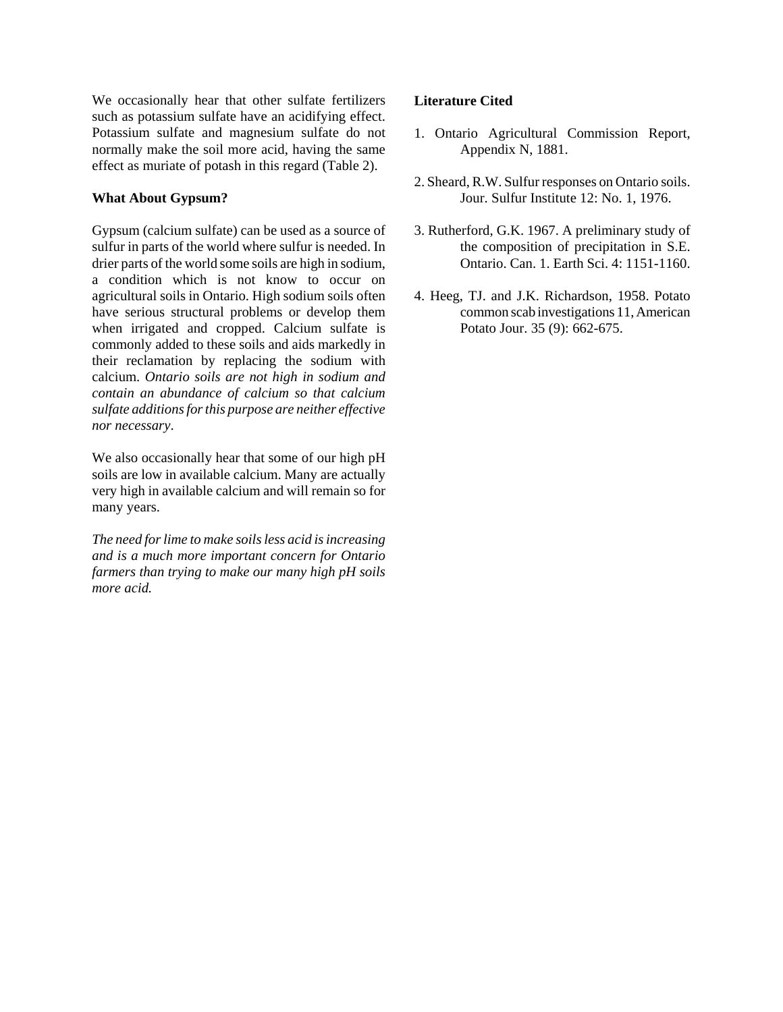We occasionally hear that other sulfate fertilizers such as potassium sulfate have an acidifying effect. Potassium sulfate and magnesium sulfate do not normally make the soil more acid, having the same effect as muriate of potash in this regard (Table 2).

## **What About Gypsum?**

Gypsum (calcium sulfate) can be used as a source of sulfur in parts of the world where sulfur is needed. In drier parts of the world some soils are high in sodium, a condition which is not know to occur on agricultural soils in Ontario. High sodium soils often have serious structural problems or develop them when irrigated and cropped. Calcium sulfate is commonly added to these soils and aids markedly in their reclamation by replacing the sodium with calcium. *Ontario soils are not high in sodium and contain an abundance of calcium so that calcium sulfate additions for this purpose are neither effective nor necessary*.

We also occasionally hear that some of our high pH soils are low in available calcium. Many are actually very high in available calcium and will remain so for many years.

*The need for lime to make soils less acid is increasing and is a much more important concern for Ontario farmers than trying to make our many high pH soils more acid.*

# **Literature Cited**

- 1. Ontario Agricultural Commission Report, Appendix N, 1881.
- 2. Sheard, R.W. Sulfur responses on Ontario soils. Jour. Sulfur Institute 12: No. 1, 1976.
- 3. Rutherford, G.K. 1967. A preliminary study of the composition of precipitation in S.E. Ontario. Can. 1. Earth Sci. 4: 1151-1160.
- 4. Heeg, TJ. and J.K. Richardson, 1958. Potato common scab investigations 11, American Potato Jour. 35 (9): 662-675.